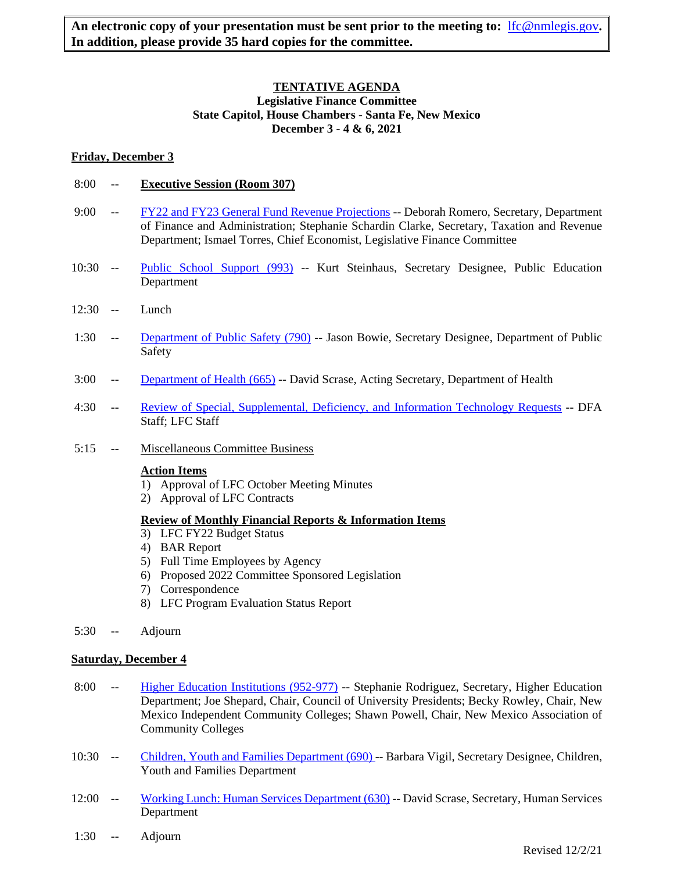# **TENTATIVE AGENDA Legislative Finance Committee State Capitol, House Chambers - Santa Fe, New Mexico December 3 - 4 & 6, 2021**

## **Friday, December 3**

- 8:00 -- **Executive Session (Room 307)**
- 9:00 -- [FY22 and FY23 General Fund Revenue Projections](https://www.nmlegis.gov/Committee/Handouts?CommitteeCode=ALFC&Date=12/3/2021&ItemNumber=1) -- Deborah Romero, Secretary, Department of Finance and Administration; Stephanie Schardin Clarke, Secretary, Taxation and Revenue Department; Ismael Torres, Chief Economist, Legislative Finance Committee
- 10:30 -- [Public School Support \(993\)](https://www.nmlegis.gov/Committee/Handouts?CommitteeCode=ALFC&Date=12/3/2021&ItemNumber=2) -- Kurt Steinhaus, Secretary Designee, Public Education Department
- 12:30 -- Lunch
- 1:30 -- [Department of Public Safety \(790\)](https://www.nmlegis.gov/Committee/Handouts?CommitteeCode=ALFC&Date=12/3/2021&ItemNumber=3) -- Jason Bowie, Secretary Designee, Department of Public Safety
- 3:00 -- [Department of Health \(665\)](https://www.nmlegis.gov/Committee/Handouts?CommitteeCode=ALFC&Date=12/3/2021&ItemNumber=4) -- David Scrase, Acting Secretary, Department of Health
- 4:30 -- [Review of Special, Supplemental, Deficiency, and Information Technology Requests](https://www.nmlegis.gov/Committee/Handouts?CommitteeCode=ALFC&Date=12/3/2021&ItemNumber=5) -- DFA Staff; LFC Staff
- 5:15 -- Miscellaneous Committee Business

#### **Action Items**

- 1) Approval of LFC October Meeting Minutes
- 2) Approval of LFC Contracts

# **Review of Monthly Financial Reports & Information Items**

- 3) LFC FY22 Budget Status
- 4) BAR Report
- 5) Full Time Employees by Agency
- 6) Proposed 2022 Committee Sponsored Legislation
- 7) Correspondence
- 8) LFC Program Evaluation Status Report
- 5:30 -- Adjourn

#### **Saturday, December 4**

- 8:00 -- [Higher Education Institutions \(952-977\)](https://www.nmlegis.gov/Committee/Handouts?CommitteeCode=ALFC&Date=12/3/2021&ItemNumber=6) -- Stephanie Rodriguez, Secretary, Higher Education Department; Joe Shepard, Chair, Council of University Presidents; Becky Rowley, Chair, New Mexico Independent Community Colleges; Shawn Powell, Chair, New Mexico Association of Community Colleges
- 10:30 -- [Children, Youth and Families Department \(690\)](https://www.nmlegis.gov/Committee/Handouts?CommitteeCode=ALFC&Date=12/3/2021&ItemNumber=7) -- Barbara Vigil, Secretary Designee, Children, Youth and Families Department
- 12:00 -- [Working Lunch: Human Services Department \(630\)](https://www.nmlegis.gov/Committee/Handouts?CommitteeCode=ALFC&Date=12/3/2021&ItemNumber=8) -- David Scrase, Secretary, Human Services Department
- 1:30 -- Adjourn